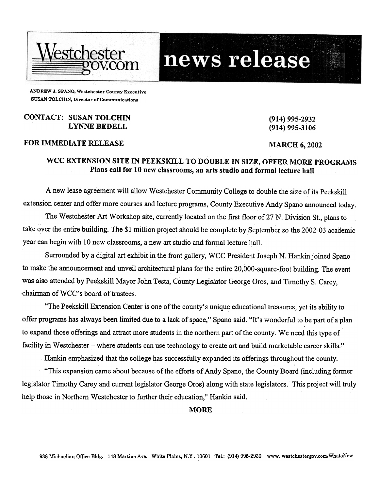

# news release

ANDREW J. SPANO, Westchester County Executive SUSAN TOLCHIN, Director of Communications

### CONTACT: SUSAN TOLCHIN LYNNE BEDELL

# FOR IMMEDIATE RELEASE MARCH 6, 2002

(914) 995-2932 (914) 995-3106

# WCC EXTENSION SITE IN PEEKSKILL TO DOUBLE IN SIZE, OFFER MORE PROGRAMS Plans call for 10 new classrooms, an arts studio and formal lecture hall

A new lease agreement will allow Westchester Community College to double the size of its Peekskill extension center and offer more courses and lecture programs, County Executive Andy Spano announced today.

The Westchester Art Workshop site, currently located on the first floor of27 N. Division St., plans to take over the entire building. The \$1 million project should be complete by September so the 2002-03 academic year can begin with 10 new classrooms, a new art studio and formal lecture hall.

Surrounded by a digital art exhibit in the front gallery, WCC President Joseph N. Hankin joined Spano to make the announcement and unveil architectural plans for the entire 20,OOO-square-foot building. The event was also attended by Peekskill Mayor John Testa, County Legislator George Oros, and Timothy S. Carey, chairman of WCC's board of trustees.

"The Peekskill Extension Center is one of the county's unique educational treasures, yet its ability to offer programs has always been limited due to a lack of space," Spano said. "It's wonderful to be part of a plan to expand those offerings and attract more students in the northern part of the county. We need this type of facility in Westchester - where students can use technology to create art and build marketable career skills."

Hankin emphasized that the college has successfully expanded its offerings throughout the county.

"This expansion came about because of the efforts of Andy Spano, the County Board (including former legislator Timothy Carey and current legislator George Gros) along with state legislators. This project will truly help those in Northern Westchester to further their education," Hankin said.

**MORE**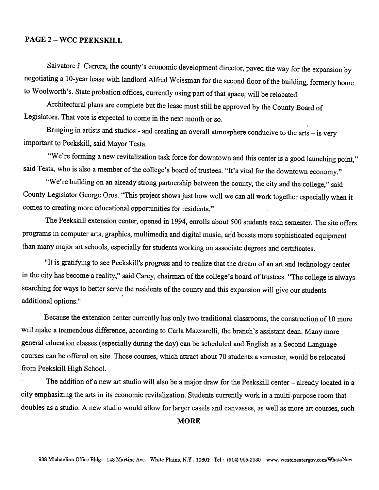# PAGE 2 - WCC PEEKSKILL

Salvatore J. Carrera, the county's economic development director, paved the way for the expansion by negotiating a 10-year lease with landlord Alfred Weissman for the second floor of the building, formerly home to Woolworth's. State probation offices, currently using part of that space, will be relocated.

Architectural plans are complete but the lease must still be approved by the County Board of Legislators. That vote is expected to come in the next month or so.

Bringing in artists and studios - and creating an overall atmosphere conducive to the arts - is very important to Peekskill, said Mayor Testa.

"We're forming a new revitalization task force for downtown and this center is a good launching point," said Testa, who is also a member of the college's board of trustees. "It's vital for the downtown economy."

"We're building on an already strong partnership between the county, the city and the college," said County Legislator George Oros. "This project shows just how well we can all work together especially when it comes to creating more educational opportunities for residents."

The Peekskill extension center, opened in 1994, enrolls about 500 students each semester. The site offers programs in computer arts, graphics, multimedia and digital music, and boasts more sophisticated equipment many major art schools, especially for students working on associate degrees and certificates.

"It is gratifying to see Peekskill's progress and to realize that the dream of an art and technology center in the city has become a reality," said Carey, chairman of the college's board of trustees. "The college is always searching for ways to better serve the residents of the county and this expansion will give our students , additional options."

Because the extension center currently has only two traditional classrooms, the construction of 10 more will make a tremendous difference, according to Carla Mazzarelli, the branch's assistant dean. Many more general education classes (especially during the day) can be scheduled and English as a Second Language courses can be offered on site. Those courses, which attract about 70 students a semester, would be relocated from Peekskill High School.

The addition of a new art studio will also be a major draw for the Peekskill center - already located in a city emphasizing the arts in its economic revitalization. Students currently work in a multi-purpose room that doubles as a studio. A new studio would allow for larger easels and canvasses, as well as more art courses, such

#### MORE